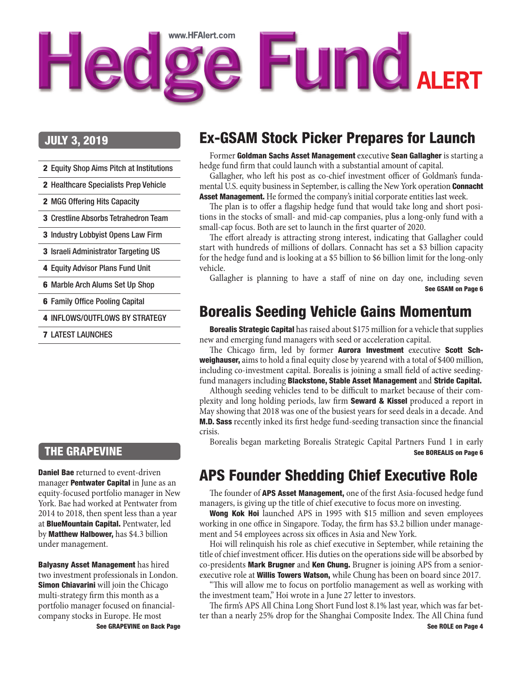## <span id="page-0-0"></span>www.HFAlert.com e Fund ALERT **Hed**

#### JULY 3, 2019

- 2 [Equity Shop Aims Pitch at Institutions](#page-1-0)
- 2 [Healthcare Specialists Prep Vehicle](#page-1-0)
- 2 [MGG Offering Hits Capacity](#page-1-0)
- 3 [Crestline Absorbs Tetrahedron Team](#page-2-0)
- 3 [Industry Lobbyist Opens Law Firm](#page-2-0)
- 3 [Israeli Administrator Targeting US](#page-2-0)
- 4 [Equity Advisor Plans Fund Unit](#page-3-0)
- 6 [Marble Arch Alums Set Up Shop](#page-5-0)
- 6 [Family Office Pooling Capital](#page-5-0)
- 4 [INFLOWS/OUTFLOWS BY STRATEGY](#page-3-0)
- 7 [LATEST LAUNCHES](#page-7-0)

#### THE GRAPEVINE

**Daniel Bae** returned to event-driven manager **Pentwater Capital** in June as an equity-focused portfolio manager in New York. Bae had worked at Pentwater from 2014 to 2018, then spent less than a year at BlueMountain Capital. Pentwater, led by Matthew Halbower, has \$4.3 billion under management.

[See GRAPEVINE on Back Page](#page-7-0) Balyasny Asset Management has hired two investment professionals in London. **Simon Chiavarini** will join the Chicago multi-strategy firm this month as a portfolio manager focused on financialcompany stocks in Europe. He most

### Ex-GSAM Stock Picker Prepares for Launch

Former Goldman Sachs Asset Management executive Sean Gallagher is starting a hedge fund firm that could launch with a substantial amount of capital.

Gallagher, who left his post as co-chief investment officer of Goldman's fundamental U.S. equity business in September, is calling the New York operation **Connacht** Asset Management. He formed the company's initial corporate entities last week.

The plan is to offer a flagship hedge fund that would take long and short positions in the stocks of small- and mid-cap companies, plus a long-only fund with a small-cap focus. Both are set to launch in the first quarter of 2020.

The effort already is attracting strong interest, indicating that Gallagher could start with hundreds of millions of dollars. Connacht has set a \$3 billion capacity for the hedge fund and is looking at a \$5 billion to \$6 billion limit for the long-only vehicle.

Gallagher is planning to have a staff of nine on day one, including seven [See GSAM on Page 6](#page-5-0)

#### Borealis Seeding Vehicle Gains Momentum

**Borealis Strategic Capital** has raised about \$175 million for a vehicle that supplies new and emerging fund managers with seed or acceleration capital.

The Chicago firm, led by former Aurora Investment executive Scott Schweighauser, aims to hold a final equity close by yearend with a total of \$400 million, including co-investment capital. Borealis is joining a small field of active seedingfund managers including Blackstone, Stable Asset Management and Stride Capital.

Although seeding vehicles tend to be difficult to market because of their complexity and long holding periods, law firm **Seward & Kissel** produced a report in May showing that 2018 was one of the busiest years for seed deals in a decade. And M.D. Sass recently inked its first hedge fund-seeding transaction since the financial crisis.

Borealis began marketing Borealis Strategic Capital Partners Fund 1 in early [See BOREALIS on Page 6](#page-5-0)

#### APS Founder Shedding Chief Executive Role

The founder of **APS Asset Management**, one of the first Asia-focused hedge fund managers, is giving up the title of chief executive to focus more on investing.

Wong Kok Hoi launched APS in 1995 with \$15 million and seven employees working in one office in Singapore. Today, the firm has \$3.2 billion under management and 54 employees across six offices in Asia and New York.

Hoi will relinquish his role as chief executive in September, while retaining the title of chief investment officer. His duties on the operations side will be absorbed by co-presidents Mark Brugner and Ken Chung. Brugner is joining APS from a seniorexecutive role at **Willis Towers Watson**, while Chung has been on board since 2017.

"This will allow me to focus on portfolio management as well as working with the investment team," Hoi wrote in a June 27 letter to investors.

The firm's APS All China Long Short Fund lost 8.1% last year, which was far better than a nearly 25% drop for the Shanghai Composite Index. The All China fund [See ROLE on Page 4](#page-3-0)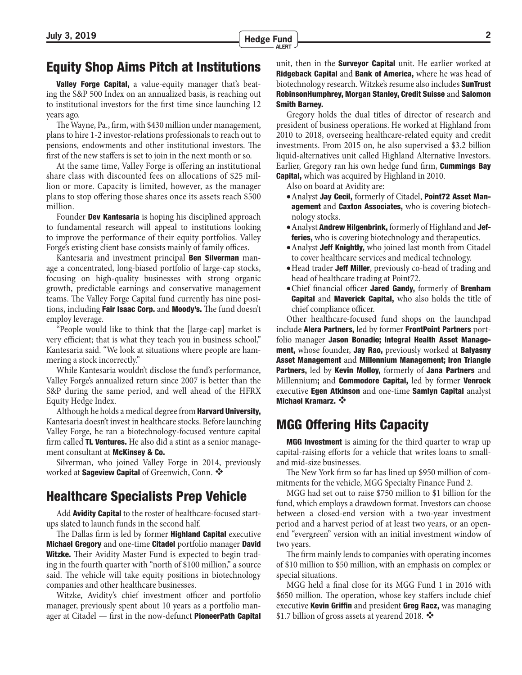#### <span id="page-1-0"></span>Equity Shop Aims Pitch at Institutions

**Valley Forge Capital,** a value-equity manager that's beating the S&P 500 Index on an annualized basis, is reaching out to institutional investors for the first time since launching 12 years ago.

The Wayne, Pa., firm, with \$430 million under management, plans to hire 1-2 investor-relations professionals to reach out to pensions, endowments and other institutional investors. The first of the new staffers is set to join in the next month or so.

At the same time, Valley Forge is offering an institutional share class with discounted fees on allocations of \$25 million or more. Capacity is limited, however, as the manager plans to stop offering those shares once its assets reach \$500 million.

Founder **Dev Kantesaria** is hoping his disciplined approach to fundamental research will appeal to institutions looking to improve the performance of their equity portfolios. Valley Forge's existing client base consists mainly of family offices.

Kantesaria and investment principal **Ben Silverman** manage a concentrated, long-biased portfolio of large-cap stocks, focusing on high-quality businesses with strong organic growth, predictable earnings and conservative management teams. The Valley Forge Capital fund currently has nine positions, including Fair Isaac Corp. and Moody's. The fund doesn't employ leverage.

"People would like to think that the [large-cap] market is very efficient; that is what they teach you in business school," Kantesaria said. "We look at situations where people are hammering a stock incorrectly."

While Kantesaria wouldn't disclose the fund's performance, Valley Forge's annualized return since 2007 is better than the S&P during the same period, and well ahead of the HFRX Equity Hedge Index.

Although he holds a medical degree from **Harvard University**, Kantesaria doesn't invest in healthcare stocks. Before launching Valley Forge, he ran a biotechnology-focused venture capital firm called **TL Ventures.** He also did a stint as a senior management consultant at **McKinsey & Co.** 

Silverman, who joined Valley Forge in 2014, previously worked at Sageview Capital of Greenwich, Conn.

#### Healthcare Specialists Prep Vehicle

Add Avidity Capital to the roster of healthcare-focused startups slated to launch funds in the second half.

The Dallas firm is led by former **Highland Capital** executive Michael Gregory and one-time Citadel portfolio manager David **Witzke.** Their Avidity Master Fund is expected to begin trading in the fourth quarter with "north of \$100 million," a source said. The vehicle will take equity positions in biotechnology companies and other healthcare businesses.

Witzke, Avidity's chief investment officer and portfolio manager, previously spent about 10 years as a portfolio manager at Citadel — first in the now-defunct **PioneerPath Capital**  unit, then in the **Surveyor Capital** unit. He earlier worked at **Ridgeback Capital and Bank of America, where he was head of** biotechnology research. Witzke's resume also includes **SunTrust** RobinsonHumphrey, Morgan Stanley, Credit Suisse and Salomon Smith Barney.

Gregory holds the dual titles of director of research and president of business operations. He worked at Highland from 2010 to 2018, overseeing healthcare-related equity and credit investments. From 2015 on, he also supervised a \$3.2 billion liquid-alternatives unit called Highland Alternative Investors. Earlier, Gregory ran his own hedge fund firm, **Cummings Bay Capital,** which was acquired by Highland in 2010.

Also on board at Avidity are:

- Analyst Jay Cecil, formerly of Citadel, Point72 Asset Management and Caxton Associates, who is covering biotechnology stocks.
- Analyst Andrew Hilgenbrink, formerly of Highland and Jef**feries,** who is covering biotechnology and therapeutics.
- Analyst Jeff Knightly, who joined last month from Citadel to cover healthcare services and medical technology.
- Head trader Jeff Miller, previously co-head of trading and head of healthcare trading at Point72.
- Chief financial officer Jared Gandy, formerly of Brenham **Capital** and **Maverick Capital**, who also holds the title of chief compliance officer.

Other healthcare-focused fund shops on the launchpad include Alera Partners, led by former FrontPoint Partners portfolio manager Jason Bonadio; Integral Health Asset Management, whose founder, Jay Rao, previously worked at Balyasny Asset Management and Millennium Management; Iron Triangle Partners, led by Kevin Molloy, formerly of Jana Partners and Millennium; and **Commodore Capital**, led by former **Venrock** executive Egen Atkinson and one-time Samlyn Capital analyst Michael Kramarz. ❖

#### MGG Offering Hits Capacity

**MGG Investment** is aiming for the third quarter to wrap up capital-raising efforts for a vehicle that writes loans to smalland mid-size businesses.

The New York firm so far has lined up \$950 million of commitments for the vehicle, MGG Specialty Finance Fund 2.

MGG had set out to raise \$750 million to \$1 billion for the fund, which employs a drawdown format. Investors can choose between a closed-end version with a two-year investment period and a harvest period of at least two years, or an openend "evergreen" version with an initial investment window of two years.

The firm mainly lends to companies with operating incomes of \$10 million to \$50 million, with an emphasis on complex or special situations.

MGG held a final close for its MGG Fund 1 in 2016 with \$650 million. The operation, whose key staffers include chief executive Kevin Griffin and president Greg Racz, was managing \$1.7 billion of gross assets at yearend 2018.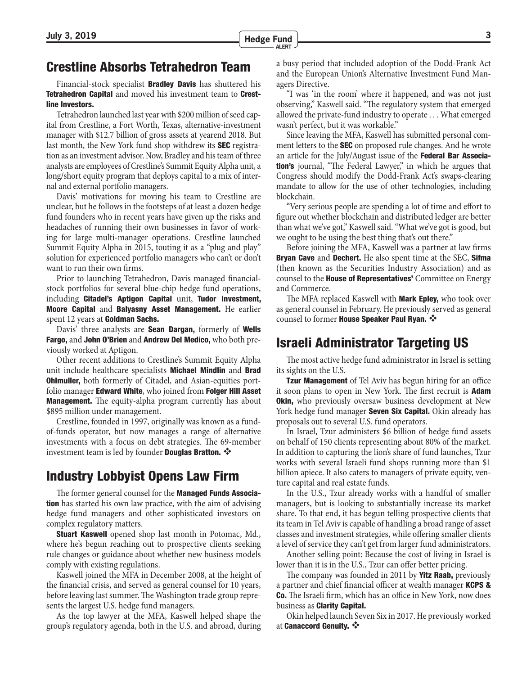#### <span id="page-2-0"></span>Crestline Absorbs Tetrahedron Team

Financial-stock specialist **Bradley Davis** has shuttered his Tetrahedron Capital and moved his investment team to Crestline Investors.

Tetrahedron launched last year with \$200 million of seed capital from Crestline, a Fort Worth, Texas, alternative-investment manager with \$12.7 billion of gross assets at yearend 2018. But last month, the New York fund shop withdrew its SEC registration as an investment advisor. Now, Bradley and his team of three analysts are employees of Crestline's Summit Equity Alpha unit, a long/short equity program that deploys capital to a mix of internal and external portfolio managers.

Davis' motivations for moving his team to Crestline are unclear, but he follows in the footsteps of at least a dozen hedge fund founders who in recent years have given up the risks and headaches of running their own businesses in favor of working for large multi-manager operations. Crestline launched Summit Equity Alpha in 2015, touting it as a "plug and play" solution for experienced portfolio managers who can't or don't want to run their own firms.

Prior to launching Tetrahedron, Davis managed financialstock portfolios for several blue-chip hedge fund operations, including Citadel's Aptigon Capital unit, Tudor Investment, Moore Capital and Balyasny Asset Management. He earlier spent 12 years at Goldman Sachs.

Davis' three analysts are **Sean Dargan**, formerly of **Wells** Fargo, and John O'Brien and Andrew Del Medico, who both previously worked at Aptigon.

Other recent additions to Crestline's Summit Equity Alpha unit include healthcare specialists Michael Mindlin and Brad **Ohlmuller,** both formerly of Citadel, and Asian-equities portfolio manager **Edward White**, who joined from **Folger Hill Asset Management.** The equity-alpha program currently has about \$895 million under management.

Crestline, founded in 1997, originally was known as a fundof-funds operator, but now manages a range of alternative investments with a focus on debt strategies. The 69-member investment team is led by founder **Douglas Bratton.**  $\mathbf{\hat{*}}$ 

#### Industry Lobbyist Opens Law Firm

The former general counsel for the **Managed Funds Association** has started his own law practice, with the aim of advising hedge fund managers and other sophisticated investors on complex regulatory matters.

**Stuart Kaswell** opened shop last month in Potomac, Md., where he's begun reaching out to prospective clients seeking rule changes or guidance about whether new business models comply with existing regulations.

Kaswell joined the MFA in December 2008, at the height of the financial crisis, and served as general counsel for 10 years, before leaving last summer. The Washington trade group represents the largest U.S. hedge fund managers.

As the top lawyer at the MFA, Kaswell helped shape the group's regulatory agenda, both in the U.S. and abroad, during a busy period that included adoption of the Dodd-Frank Act and the European Union's Alternative Investment Fund Managers Directive.

"I was 'in the room' where it happened, and was not just observing," Kaswell said. "The regulatory system that emerged allowed the private-fund industry to operate . . . What emerged wasn't perfect, but it was workable."

Since leaving the MFA, Kaswell has submitted personal comment letters to the **SEC** on proposed rule changes. And he wrote an article for the July/August issue of the Federal Bar Associa**tion's** journal, "The Federal Lawyer," in which he argues that Congress should modify the Dodd-Frank Act's swaps-clearing mandate to allow for the use of other technologies, including blockchain.

"Very serious people are spending a lot of time and effort to figure out whether blockchain and distributed ledger are better than what we've got," Kaswell said. "What we've got is good, but we ought to be using the best thing that's out there."

Before joining the MFA, Kaswell was a partner at law firms **Bryan Cave** and **Dechert.** He also spent time at the SEC, **Sifma** (then known as the Securities Industry Association) and as counsel to the **House of Representatives'** Committee on Energy and Commerce.

The MFA replaced Kaswell with **Mark Epley**, who took over as general counsel in February. He previously served as general counsel to former **House Speaker Paul Ryan.** 

#### Israeli Administrator Targeting US

The most active hedge fund administrator in Israel is setting its sights on the U.S.

**Tzur Management** of Tel Aviv has begun hiring for an office it soon plans to open in New York. The first recruit is **Adam Okin,** who previously oversaw business development at New York hedge fund manager **Seven Six Capital.** Okin already has proposals out to several U.S. fund operators.

In Israel, Tzur administers \$6 billion of hedge fund assets on behalf of 150 clients representing about 80% of the market. In addition to capturing the lion's share of fund launches, Tzur works with several Israeli fund shops running more than \$1 billion apiece. It also caters to managers of private equity, venture capital and real estate funds.

In the U.S., Tzur already works with a handful of smaller managers, but is looking to substantially increase its market share. To that end, it has begun telling prospective clients that its team in Tel Aviv is capable of handling a broad range of asset classes and investment strategies, while offering smaller clients a level of service they can't get from larger fund administrators.

Another selling point: Because the cost of living in Israel is lower than it is in the U.S., Tzur can offer better pricing.

The company was founded in 2011 by **Yitz Raab**, previously a partner and chief financial officer at wealth manager KCPS & Co. The Israeli firm, which has an office in New York, now does business as Clarity Capital.

Okin helped launch Seven Six in 2017. He previously worked at Canaccord Genuity.  $\cdot$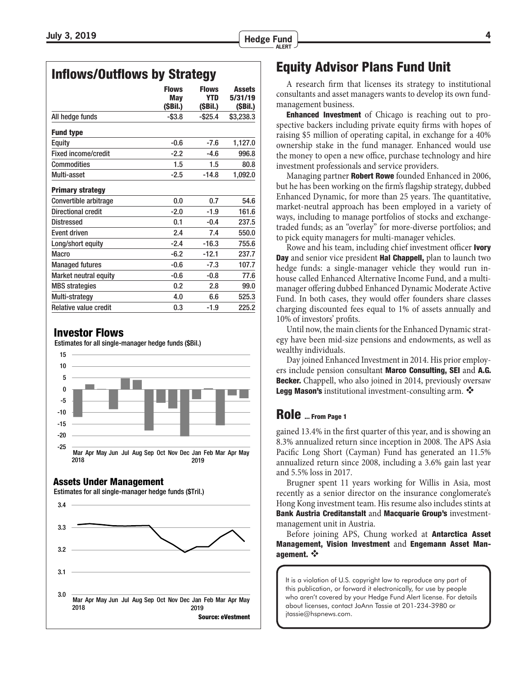<span id="page-3-0"></span>

|                              | <b>Flows</b><br>May<br>(SBil.) | <b>Flows</b><br>YTD<br>(\$Bil.) | <b>Assets</b><br>5/31/19<br>(\$Bil.) |
|------------------------------|--------------------------------|---------------------------------|--------------------------------------|
| All hedge funds              | $-$ \$3.8                      | $-$ \$25.4                      | \$3,238.3                            |
| <b>Fund type</b>             |                                |                                 |                                      |
| <b>Equity</b>                | $-0.6$                         | $-7.6$                          | 1,127.0                              |
| <b>Fixed income/credit</b>   | $-2.2$                         | $-4.6$                          | 996.8                                |
| Commodities                  | 1.5                            | 1.5                             | 80.8                                 |
| Multi-asset                  | $-2.5$                         | $-14.8$                         | 1,092.0                              |
| <b>Primary strategy</b>      |                                |                                 |                                      |
| Convertible arbitrage        | 0.0                            | 0.7                             | 54.6                                 |
| Directional credit           | $-2.0$                         | $-1.9$                          | 161.6                                |
| Distressed                   | 0.1                            | $-0.4$                          | 237.5                                |
| <b>Event driven</b>          | 2.4                            | 7.4                             | 550.0                                |
| Long/short equity            | $-2.4$                         | $-16.3$                         | 755.6                                |
| <b>Macro</b>                 | $-6.2$                         | $-12.1$                         | 237.7                                |
| <b>Managed futures</b>       | $-0.6$                         | $-7.3$                          | 107.7                                |
| <b>Market neutral equity</b> | $-0.6$                         | $-0.8$                          | 77.6                                 |
| <b>MBS</b> strategies        | 0.2                            | 2.8                             | 99.0                                 |
| Multi-strategy               | 4.0                            | 6.6                             | 525.3                                |
| <b>Relative value credit</b> | 0.3                            | $-1.9$                          | 225.2                                |

#### Investor Flows

Estimates for all single-manager hedge funds (\$Bil.)



#### Assets Under Management

Estimates for all single-manager hedge funds (\$Tril.)



#### Equity Advisor Plans Fund Unit

A research firm that licenses its strategy to institutional consultants and asset managers wants to develop its own fundmanagement business.

**Enhanced Investment** of Chicago is reaching out to prospective backers including private equity firms with hopes of raising \$5 million of operating capital, in exchange for a 40% ownership stake in the fund manager. Enhanced would use the money to open a new office, purchase technology and hire investment professionals and service providers.

Managing partner **Robert Rowe** founded Enhanced in 2006, but he has been working on the firm's flagship strategy, dubbed Enhanced Dynamic, for more than 25 years. The quantitative, market-neutral approach has been employed in a variety of ways, including to manage portfolios of stocks and exchangetraded funds; as an "overlay" for more-diverse portfolios; and to pick equity managers for multi-manager vehicles.

Rowe and his team, including chief investment officer **Ivory** Day and senior vice president Hal Chappell, plan to launch two hedge funds: a single-manager vehicle they would run inhouse called Enhanced Alternative Income Fund, and a multimanager offering dubbed Enhanced Dynamic Moderate Active Fund. In both cases, they would offer founders share classes charging discounted fees equal to 1% of assets annually and 10% of investors' profits.

Until now, the main clients for the Enhanced Dynamic strategy have been mid-size pensions and endowments, as well as wealthy individuals.

Day joined Enhanced Investment in 2014. His prior employers include pension consultant Marco Consulting, SEI and A.G. **Becker.** Chappell, who also joined in 2014, previously oversaw Legg Mason's institutional investment-consulting arm.

#### [Role ... From Page 1](#page-0-0)

gained 13.4% in the first quarter of this year, and is showing an 8.3% annualized return since inception in 2008. The APS Asia Pacific Long Short (Cayman) Fund has generated an 11.5% annualized return since 2008, including a 3.6% gain last year and 5.5% loss in 2017.

Brugner spent 11 years working for Willis in Asia, most recently as a senior director on the insurance conglomerate's Hong Kong investment team. His resume also includes stints at Bank Austria Creditanstalt and Macquarie Group's investmentmanagement unit in Austria.

Before joining APS, Chung worked at **Antarctica Asset** Management, Vision Investment and Engemann Asset Management.

It is a violation of U.S. copyright law to reproduce any part of this publication, or forward it electronically, for use by people who aren't covered by your Hedge Fund Alert license. For details about licenses, contact JoAnn Tassie at 201-234-3980 or jtassie@hspnews.com.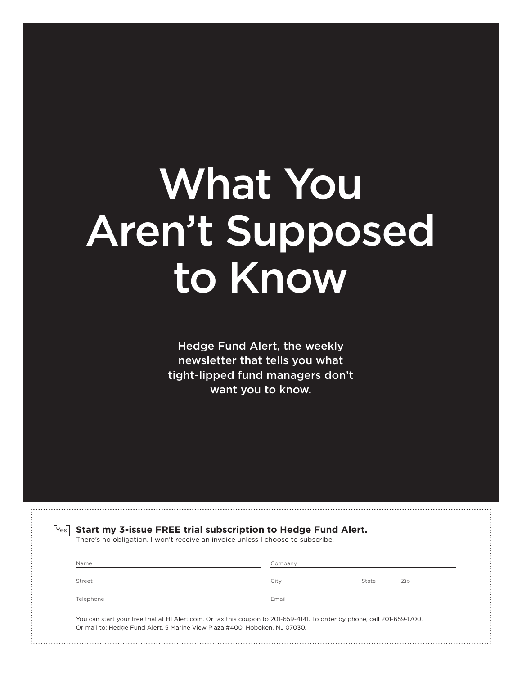# What You [Aren't Supposed](https://www.hfalert.com/freetrial.pl)  to Know

Hedge Fund Alert, the weekly newsletter that tells you what tight-lipped fund managers don't want you to know.

| Name      | Company |       |     |
|-----------|---------|-------|-----|
|           |         |       |     |
| Street    | City    | State | Zip |
| Telephone | Email   |       |     |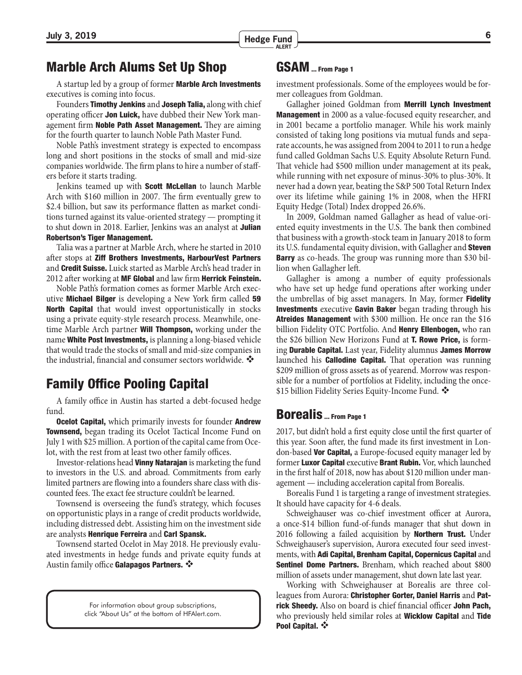#### <span id="page-5-0"></span>Marble Arch Alums Set Up Shop

A startup led by a group of former Marble Arch Investments executives is coming into focus.

Founders Timothy Jenkins and Joseph Talia, along with chief operating officer Jon Luick, have dubbed their New York management firm Noble Path Asset Management. They are aiming for the fourth quarter to launch Noble Path Master Fund.

Noble Path's investment strategy is expected to encompass long and short positions in the stocks of small and mid-size companies worldwide. The firm plans to hire a number of staffers before it starts trading.

Jenkins teamed up with **Scott McLellan** to launch Marble Arch with \$160 million in 2007. The firm eventually grew to \$2.4 billion, but saw its performance flatten as market conditions turned against its value-oriented strategy — prompting it to shut down in 2018. Earlier, Jenkins was an analyst at Julian Robertson's Tiger Management.

Talia was a partner at Marble Arch, where he started in 2010 after stops at Ziff Brothers Investments, HarbourVest Partners and Credit Suisse. Luick started as Marble Arch's head trader in 2012 after working at MF Global and law firm Herrick Feinstein.

Noble Path's formation comes as former Marble Arch executive Michael Bilger is developing a New York firm called 59 North Capital that would invest opportunistically in stocks using a private equity-style research process. Meanwhile, onetime Marble Arch partner **Will Thompson**, working under the name White Post Investments, is planning a long-biased vehicle that would trade the stocks of small and mid-size companies in the industrial, financial and consumer sectors worldwide.

#### Family Office Pooling Capital

A family office in Austin has started a debt-focused hedge fund.

**Ocelot Capital,** which primarily invests for founder **Andrew** Townsend, began trading its Ocelot Tactical Income Fund on July 1 with \$25 million. A portion of the capital came from Ocelot, with the rest from at least two other family offices.

Investor-relations head Vinny Natarajan is marketing the fund to investors in the U.S. and abroad. Commitments from early limited partners are flowing into a founders share class with discounted fees. The exact fee structure couldn't be learned.

Townsend is overseeing the fund's strategy, which focuses on opportunistic plays in a range of credit products worldwide, including distressed debt. Assisting him on the investment side are analysts Henrique Ferreira and Carl Spansk.

Townsend started Ocelot in May 2018. He previously evaluated investments in hedge funds and private equity funds at Austin family office Galapagos Partners.

> For information about group subscriptions, click "About Us" at the bottom of HFAlert.com.

#### [GSAM ... From Page 1](#page-0-0)

investment professionals. Some of the employees would be former colleagues from Goldman.

Gallagher joined Goldman from **Merrill Lynch Investment Management** in 2000 as a value-focused equity researcher, and in 2001 became a portfolio manager. While his work mainly consisted of taking long positions via mutual funds and separate accounts, he was assigned from 2004 to 2011 to run a hedge fund called Goldman Sachs U.S. Equity Absolute Return Fund. That vehicle had \$500 million under management at its peak, while running with net exposure of minus-30% to plus-30%. It never had a down year, beating the S&P 500 Total Return Index over its lifetime while gaining 1% in 2008, when the HFRI Equity Hedge (Total) Index dropped 26.6%.

In 2009, Goldman named Gallagher as head of value-oriented equity investments in the U.S. The bank then combined that business with a growth-stock team in January 2018 to form its U.S. fundamental equity division, with Gallagher and **Steven Barry** as co-heads. The group was running more than \$30 billion when Gallagher left.

Gallagher is among a number of equity professionals who have set up hedge fund operations after working under the umbrellas of big asset managers. In May, former **Fidelity Investments** executive Gavin Baker began trading through his Atreides Management with \$300 million. He once ran the \$16 billion Fidelity OTC Portfolio. And **Henry Ellenbogen**, who ran the \$26 billion New Horizons Fund at **T. Rowe Price**, is forming Durable Capital. Last year, Fidelity alumnus James Morrow launched his **Callodine Capital.** That operation was running \$209 million of gross assets as of yearend. Morrow was responsible for a number of portfolios at Fidelity, including the once- \$15 billion Fidelity Series Equity-Income Fund.

#### [Borealis ... From Page 1](#page-0-0)

2017, but didn't hold a first equity close until the first quarter of this year. Soon after, the fund made its first investment in London-based Vor Capital, a Europe-focused equity manager led by former **Luxor Capital** executive **Brant Rubin.** Vor, which launched in the first half of 2018, now has about \$120 million under management — including acceleration capital from Borealis.

Borealis Fund 1 is targeting a range of investment strategies. It should have capacity for 4-6 deals.

Schweighauser was co-chief investment officer at Aurora, a once-\$14 billion fund-of-funds manager that shut down in 2016 following a failed acquisition by **Northern Trust**. Under Schweighauser's supervision, Aurora executed four seed investments, with Adi Capital, Brenham Capital, Copernicus Capital and **Sentinel Dome Partners.** Brenham, which reached about \$800 million of assets under management, shut down late last year.

Working with Schweighauser at Borealis are three colleagues from Aurora: Christopher Gorter, Daniel Harris and Patrick Sheedy. Also on board is chief financial officer John Pach, who previously held similar roles at **Wicklow Capital** and **Tide** Pool Capital. ❖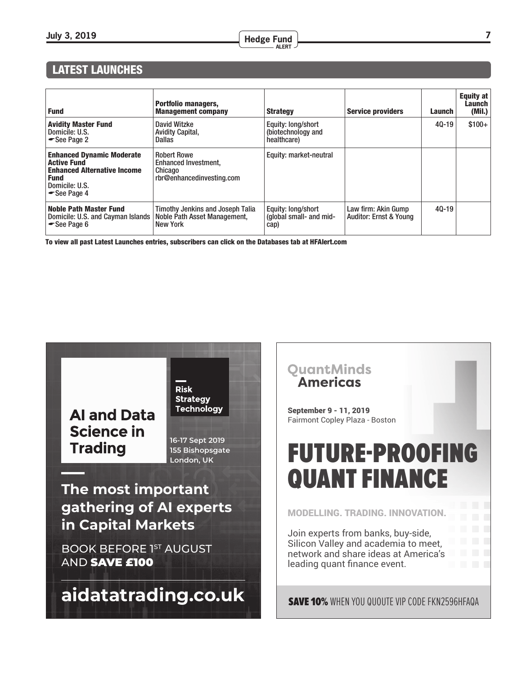#### **July 3, 2019 <sup>7</sup> Hedge Fund ALERT**

#### LATEST LAUNCHES  $\overline{\phantom{a}}$ LATEST LAUNCHES

| <b>Fund</b>                                                                                                                                 | <b>Portfolio managers,</b><br><b>Management company</b>                             | <b>Strategy</b>                                         | <b>Service providers</b>                                 | Launch    | Equity at<br><b>Launch</b><br>(Mil.) |
|---------------------------------------------------------------------------------------------------------------------------------------------|-------------------------------------------------------------------------------------|---------------------------------------------------------|----------------------------------------------------------|-----------|--------------------------------------|
| <b>Avidity Master Fund</b><br>Domicile: U.S.<br>See Page 2                                                                                  | David Witzke<br><b>Avidity Capital,</b><br>Dallas                                   | Equity: long/short<br>(biotechnology and<br>healthcare) |                                                          | $40 - 19$ | $$100+$                              |
| <b>Enhanced Dynamic Moderate</b><br><b>Active Fund</b><br><b>Enhanced Alternative Income</b><br><b>Fund</b><br>Domicile: U.S.<br>See Page 4 | <b>Robert Rowe</b><br>Enhanced Investment.<br>Chicago<br>rbr@enhancedinvesting.com  | Equity: market-neutral                                  |                                                          |           |                                      |
| <b>Noble Path Master Fund</b><br>Domicile: U.S. and Cayman Islands<br>See Page 6                                                            | Timothy Jenkins and Joseph Talia<br>Noble Path Asset Management,<br><b>New York</b> | Equity: long/short<br>(global small- and mid-<br>cap)   | Law firm: Akin Gump<br><b>Auditor: Ernst &amp; Young</b> | $40 - 19$ |                                      |

To view all past Latest Launches entries, subscribers can click on the Databases tab at HFAlert.com



**Risk Strategy Technology** 

**16‐17 Sept 2019 155 Bishopsgate London, UK**

**The most important gathering of AI experts in Capital Markets**

**BOOK BEFORE 1ST AUGUST** AND SAVE £100

**[aidatatrading.co.uk](https://www.aidatatrading.co.uk)**